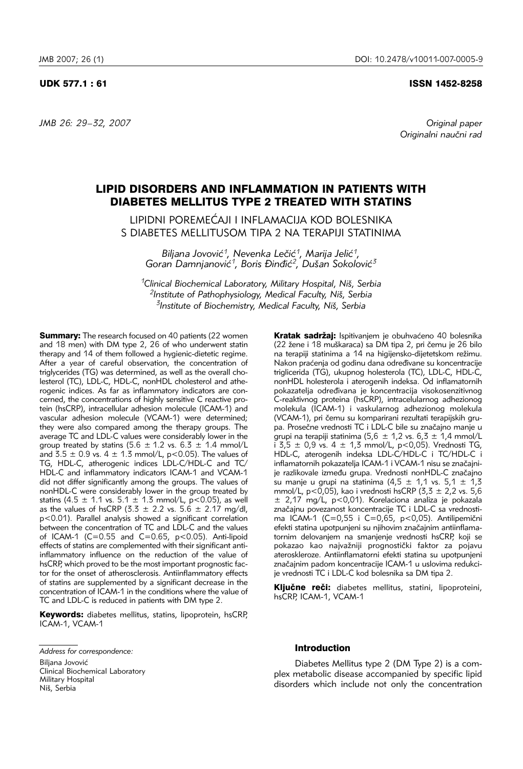*JMB 26: 29–32, 2007 Original paper* 

# UDK 577.1 : 61 ISSN 1452-8258

Originalni naučni rad

# LIPID DISORDERS AND INFLAMMATION IN PATIENTS WITH DIABETES MELLITUS TYPE 2 TREATED WITH STATINS

LIPIDNI POREMEĆAJI I INFLAMACIJA KOD BOLESNIKA S DIABETES MELLITUSOM TIPA 2 NA TERAPIJI STATINIMA

Biljana Jovović<sup>1</sup>, Nevenka Lečić<sup>1</sup>, Marija Jelić<sup>1</sup>, Goran Damnjanović<sup>1</sup>, Boris Đinđić<sup>2</sup>, Dušan Sokolović<sup>3</sup>

*1Clinical Biochemical Laboratory, Military Hospital, Ni{, Serbia 2Institute of Pathophysiology, Medical Faculty, Ni{, Serbia 3Institute of Biochemistry, Medical Faculty, Ni{, Serbia*

**Summary:** The research focused on 40 patients (22 women and 18 men) with DM type 2, 26 of who underwent statin therapy and 14 of them followed a hygienic-dietetic regime. After a year of careful observation, the concentration of triglycerides (TG) was determined, as well as the overall cholesterol (TC), LDL-C, HDL-C, nonHDL cholesterol and atherogenic indices. As far as inflammatory indicators are concerned, the concentrations of highly sensitive C reactive protein (hsCRP), intracellular adhesion molecule (ICAM-1) and vascular adhesion molecule (VCAM-1) were determined; they were also compared among the therapy groups. The average TC and LDL-C values were considerably lower in the group treated by statins (5.6  $\pm$  1.2 vs. 6.3  $\pm$  1.4 mmol/L and  $3.5 \pm 0.9$  vs.  $4 \pm 1.3$  mmol/L, p<0.05). The values of TG, HDL-C, atherogenic indices LDL-C/HDL-C and TC/ HDL-C and inflammatory indicators ICAM-1 and VCAM-1 did not differ significantly among the groups. The values of nonHDL-C were considerably lower in the group treated by statins (4.5  $\pm$  1.1 vs. 5.1  $\pm$  1.3 mmol/L, p<0.05), as well as the values of hsCRP (3.3  $\pm$  2.2 vs. 5.6  $\pm$  2.17 mg/dl, p<0.01). Parallel analysis showed a significant correlation between the concentration of TC and LDL-C and the values of ICAM-1 (C=0.55 and C=0.65, p<0.05). Anti-lipoid effects of statins are complemented with their significant antiinflammatory influence on the reduction of the value of hsCRP, which proved to be the most important prognostic factor for the onset of atherosclerosis. Antiinflammatory effects of statins are supplemented by a significant decrease in the concentration of ICAM-1 in the conditions where the value of TC and LDL-C is reduced in patients with DM type 2.

Keywords: diabetes mellitus, statins, lipoprotein, hsCRP, ICAM-1, VCAM-1

Biliana Jovović Clinical Biochemical Laboratory Military Hospital Niš, Serbia

Kratak sadržaj: Ispitivanjem je obuhvaćeno 40 bolesnika (22 žene i 18 muškaraca) sa DM tipa 2, pri čemu je 26 bilo na terapiji statinima a 14 na higijensko-dijetetskom režimu. Nakon praćenja od godinu dana određivane su koncentracije triglicerida (TG), ukupnog holesterola (TC), LDL-C, HDL-C, nonHDL holesterola i aterogenih indeksa. Od inflamatornih pokazatelja određivana je koncentracija visokosenzitivnog C-reaktivnog proteina (hsCRP), intracelularnog adhezionog molekula (ICAM-1) i vaskularnog adhezionog molekula (VCAM-1), pri čemu su komparirani rezultati terapijskih grupa. Prosečne vrednosti TC i LDL-C bile su značajno manje u grupi na terapiji statinima (5,6  $\pm$  1,2 vs. 6,3  $\pm$  1,4 mmol/L i 3,5 ± 0,9 vs. 4 ± 1,3 mmol/L, p<0,05). Vrednosti TG, HDL-C, aterogenih indeksa LDL-C/HDL-C i TC/HDL-C i inflamatornih pokazatelja ICAM-1 i VCAM-1 nisu se značajnije razlikovale između grupa. Vrednosti nonHDL-C značajno su manje u grupi na statinima (4,5  $\pm$  1,1 vs. 5,1  $\pm$  1,3 mmol/L, p<0,05), kao i vrednosti hsCRP (3,3 ± 2,2 vs. 5,6 ± 2,17 mg/L, p<0,01). Korelaciona analiza je pokazala značajnu povezanost koncentracije TC i LDL-C sa vrednostima ICAM-1 (C=0,55 i C=0,65, p<0,05). Antilipemični efekti statina upotpunjeni su njihovim značajnim antiinflamatornim delovanjem na smanjenje vrednosti hsCRP, koji se pokazao kao najvažniji prognostički faktor za pojavu ateroskleroze. Antiinflamatorni efekti statina su upotpunjeni značajnim padom koncentracije ICAM-1 u uslovima redukcije vrednosti TC i LDL-C kod bolesnika sa DM tipa 2.

Ključne reči: diabetes mellitus, statini, lipoproteini, hsCRP, ICAM-1, VCAM-1

#### Introduction

Diabetes Mellitus type 2 (DM Type 2) is a complex metabolic disease accompanied by specific lipid disorders which include not only the concentration

*Address for correspondence:*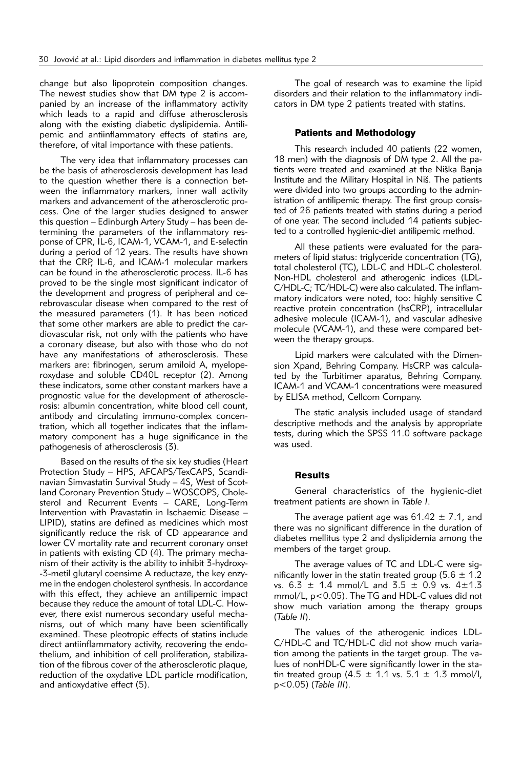change but also lipoprotein composition changes. The newest studies show that DM type 2 is accompanied by an increase of the inflammatory activity which leads to a rapid and diffuse atherosclerosis along with the existing diabetic dyslipidemia. Antilipemic and antiinflammatory effects of statins are, therefore, of vital importance with these patients.

The very idea that inflammatory processes can be the basis of atherosclerosis development has lead to the question whether there is a connection between the inflammatory markers, inner wall activity markers and advancement of the atherosclerotic process. One of the larger studies designed to answer this question – Edinburgh Artery Study – has been determining the parameters of the inflammatory response of CPR, IL-6, ICAM-1, VCAM-1, and E-selectin during a period of 12 years. The results have shown that the CRP, IL-6, and ICAM-1 molecular markers can be found in the atherosclerotic process. IL-6 has proved to be the single most significant indicator of the development and progress of peripheral and cerebrovascular disease when compared to the rest of the measured parameters (1). It has been noticed that some other markers are able to predict the cardiovascular risk, not only with the patients who have a coronary disease, but also with those who do not have any manifestations of atherosclerosis. These markers are: fibrinogen, serum amiloid A, myeloperoxydase and soluble CD40L receptor (2). Among these indicators, some other constant markers have a prognostic value for the development of atherosclerosis: albumin concentration, white blood cell count, antibody and circulating immuno-complex concentration, which all together indicates that the inflammatory component has a huge significance in the pathogenesis of atherosclerosis (3).

Based on the results of the six key studies (Heart Protection Study – HPS, AFCAPS/TexCAPS, Scandinavian Simvastatin Survival Study – 4S, West of Scotland Coronary Prevention Study – WOSCOPS, Cholesterol and Recurrent Events – CARE, Long-Term Intervention with Pravastatin in Ischaemic Disease – LIPID), statins are defined as medicines which most significantly reduce the risk of CD appearance and lower CV mortality rate and recurrent coronary onset in patients with existing CD (4). The primary mechanism of their activity is the ability to inhibit 3-hydroxy- -3-metil glutaryl coensime A reductaze, the key enzyme in the endogen cholesterol synthesis. In accordance with this effect, they achieve an antilipemic impact because they reduce the amount of total LDL-C. However, there exist numerous secondary useful mechanisms, out of which many have been scientifically examined. These pleotropic effects of statins include direct antiinflammatory activity, recovering the endothelium, and inhibition of cell proliferation, stabilization of the fibrous cover of the atherosclerotic plaque, reduction of the oxydative LDL particle modification, and antioxydative effect (5).

The goal of research was to examine the lipid disorders and their relation to the inflammatory indicators in DM type 2 patients treated with statins.

### Patients and Methodology

This research included 40 patients (22 women, 18 men) with the diagnosis of DM type 2. All the patients were treated and examined at the Niška Banja Institute and the Military Hospital in Niš. The patients were divided into two groups according to the administration of antilipemic therapy. The first group consisted of 26 patients treated with statins during a period of one year. The second included 14 patients subjected to a controlled hygienic-diet antilipemic method.

All these patients were evaluated for the parameters of lipid status: triglyceride concentration (TG), total cholesterol (TC), LDL-C and HDL-C cholesterol. Non-HDL cholesterol and atherogenic indices (LDL-C/HDL-C; TC/HDL-C) were also calculated. The inflammatory indicators were noted, too: highly sensitive C reactive protein concentration (hsCRP), intracellular adhesive molecule (ICAM-1), and vascular adhesive molecule (VCAM-1), and these were compared between the therapy groups.

Lipid markers were calculated with the Dimension Xpand, Behring Company. HsCRP was calculated by the Turbitimer aparatus, Behring Company. ICAM-1 and VCAM-1 concentrations were measured by ELISA method, Cellcom Company.

The static analysis included usage of standard descriptive methods and the analysis by appropriate tests, during which the SPSS 11.0 software package was used.

### **Results**

General characteristics of the hygienic-diet treatment patients are shown in *Table I*.

The average patient age was  $61.42 \pm 7.1$ , and there was no significant difference in the duration of diabetes mellitus type 2 and dyslipidemia among the members of the target group.

The average values of TC and LDL-C were significantly lower in the statin treated group (5.6  $\pm$  1.2 vs.  $6.3 \pm 1.4$  mmol/L and  $3.5 \pm 0.9$  vs.  $4 \pm 1.3$ mmol/L, p<0.05). The TG and HDL-C values did not show much variation among the therapy groups (*Table II*).

The values of the atherogenic indices LDL-C/HDL-C and TC/HDL-C did not show much variation among the patients in the target group. The values of nonHDL-C were significantly lower in the statin treated group (4.5  $\pm$  1.1 vs. 5.1  $\pm$  1.3 mmol/l, p<0.05) (*Table III*).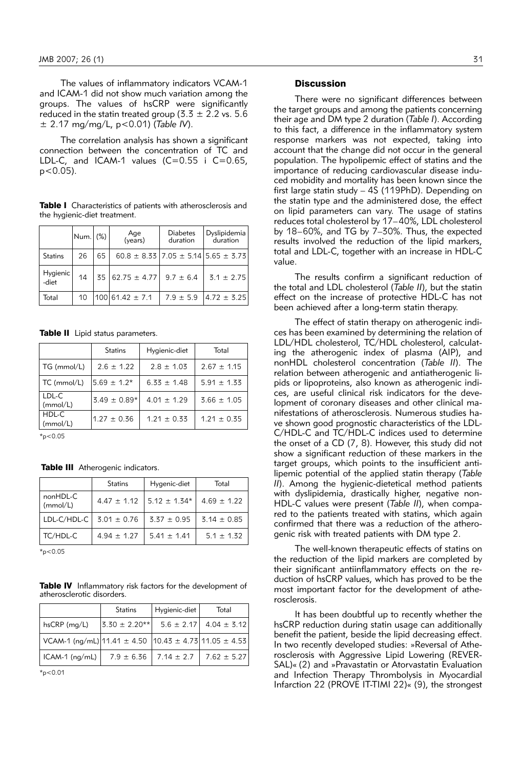The values of inflammatory indicators VCAM-1 and ICAM-1 did not show much variation among the groups. The values of hsCRP were significantly reduced in the statin treated group (3.3  $\pm$  2.2 vs. 5.6 ± 2.17 mg/mg/L, p<0.01) (*Table IV*).

The correlation analysis has shown a significant connection between the concentration of TC and LDL-C, and ICAM-1 values  $(C=0.55$  i C=0.65,  $p < 0.05$ ).

Table I Characteristics of patients with atherosclerosis and the hygienic-diet treatment.

|                   | Num. (%) |    | Age<br>(years)      | <b>Diabetes</b><br>duration | Dyslipidemia<br>duration                        |
|-------------------|----------|----|---------------------|-----------------------------|-------------------------------------------------|
| <b>Statins</b>    | 26       | 65 |                     |                             | $60.8 \pm 8.33$ 7.05 $\pm$ 5.14 5.65 $\pm$ 3.73 |
| Hygienic<br>-diet | 14       |    | $35 62.75 \pm 4.77$ | $9.7 \pm 6.4$               | $3.1 \pm 2.75$                                  |
| Total             | 10       |    | $100161.42 \pm 7.1$ | $7.9 \pm 5.9$               | $ 4.72 \pm 3.25 $                               |

Table II Lipid status parameters.

|                   | <b>Statins</b>   | Hygienic-diet   | Total           |
|-------------------|------------------|-----------------|-----------------|
| TG (mmol/L)       | $2.6 \pm 1.22$   | $2.8 \pm 1.03$  | $2.67 \pm 1.15$ |
| TC (mmol/L)       | $5.69 \pm 1.2*$  | $6.33 \pm 1.48$ | $5.91 \pm 1.33$ |
| LDL-C<br>(mmol/L) | $3.49 \pm 0.89*$ | $4.01 \pm 1.29$ | $3.66 \pm 1.05$ |
| HDL-C<br>(mmol/L) | $1.27 \pm 0.36$  | $1.21 \pm 0.33$ | $1.21 \pm 0.35$ |

 $*_{p<0.05}$ 

Table III Atherogenic indicators.

|                      | <b>Statins</b>   | Hygenic-diet     | Total           |
|----------------------|------------------|------------------|-----------------|
| nonHDL-C<br>(mmol/L) | $4.47 \pm 1.12$  | $5.12 \pm 1.34*$ | $4.69 \pm 1.22$ |
| LDL-C/HDL-C          | $13.01 \pm 0.76$ | $3.37 \pm 0.95$  | $3.14 \pm 0.85$ |
| TC/HDL-C             | $4.94 \pm 1.27$  | $5.41 \pm 1.41$  | $5.1 \pm 1.32$  |

 $*_{p<0.05}$ 

Table IV Inflammatory risk factors for the development of atherosclerotic disorders.

|                                                        | <b>Statins</b>      | Hygienic-diet                   | Total                          |
|--------------------------------------------------------|---------------------|---------------------------------|--------------------------------|
| hsCRP (mg/L)                                           | $ 3.30 \pm 2.20** $ |                                 | $5.6 \pm 2.17$ 4.04 $\pm$ 3.12 |
| VCAM-1 (ng/mL) 11.41 ± 4.50  10.43 ± 4.73 11.05 ± 4.53 |                     |                                 |                                |
| $ICAM-1$ ( $nq/mL$ )                                   |                     | $7.9 \pm 6.36$   $7.14 \pm 2.7$ | 7.62 $\pm$ 5.27                |

 $*_{n<0.01}$ 

#### **Discussion**

There were no significant differences between the target groups and among the patients concerning their age and DM type 2 duration (*Table I*). According to this fact, a difference in the inflammatory system response markers was not expected, taking into account that the change did not occur in the general population. The hypolipemic effect of statins and the importance of reducing cardiovascular disease induced mobidity and mortality has been known since the first large statin study – 4S (119PhD). Depending on the statin type and the administered dose, the effect on lipid parameters can vary. The usage of statins reduces total cholesterol by 17–40%, LDL cholesterol by 18–60%, and TG by 7–30%. Thus, the expected results involved the reduction of the lipid markers, total and LDL-C, together with an increase in HDL-C value.

The results confirm a significant reduction of the total and LDL cholesterol (*Table II*), but the statin effect on the increase of protective HDL-C has not been achieved after a long-term statin therapy.

The effect of statin therapy on atherogenic indices has been examined by determining the relation of LDL/HDL cholesterol, TC/HDL cholesterol, calculating the atherogenic index of plasma (AIP), and nonHDL cholesterol concentration (*Table II*). The relation between atherogenic and antiatherogenic lipids or lipoproteins, also known as atherogenic indices, are useful clinical risk indicators for the development of coronary diseases and other clinical manifestations of atherosclerosis. Numerous studies have shown good prognostic characteristics of the LDL-C/HDL-C and TC/HDL-C indices used to determine the onset of a CD (7, 8). However, this study did not show a significant reduction of these markers in the target groups, which points to the insufficient antilipemic potential of the applied statin therapy (*Table II*). Among the hygienic-dietetical method patients with dyslipidemia, drastically higher, negative non-HDL-C values were present (*Table II*), when compared to the patients treated with statins, which again confirmed that there was a reduction of the atherogenic risk with treated patients with DM type 2.

The well-known therapeutic effects of statins on the reduction of the lipid markers are completed by their significant antiinflammatory effects on the reduction of hsCRP values, which has proved to be the most important factor for the development of atherosclerosis.

It has been doubtful up to recently whether the hsCRP reduction during statin usage can additionally benefit the patient, beside the lipid decreasing effect. In two recently developed studies: »Reversal of Atherosclerosis with Aggressive Lipid Lowering (REVER-SAL)« (2) and »Pravastatin or Atorvastatin Evaluation and Infection Therapy Thrombolysis in Myocardial Infarction 22 (PROVE IT-TIMI 22)« (9), the strongest